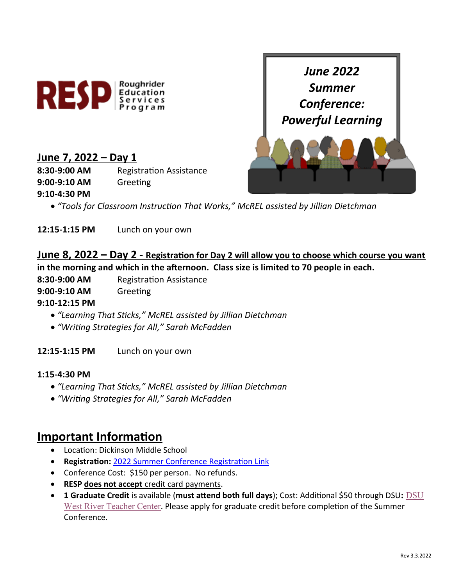



## **June 7, 2022 – Day 1**

**8:30-9:00 AM** Registration Assistance

**9:00-9:10 AM** Greeting

#### **9:10-4:30 PM**

• *"Tools for Classroom Instruction That Works," McREL assisted by Jillian Dietchman*

**12:15-1:15 PM** Lunch on your own

# **June 8, 2022 – Day 2 - Registration for Day 2 will allow you to choose which course you want in the morning and which in the afternoon. Class size is limited to 70 people in each.**

**8:30-9:00 AM** Registration Assistance

## **9:00-9:10 AM** Greeting

## **9:10-12:15 PM**

- *"Learning That Sticks," McREL assisted by Jillian Dietchman*
- *"Writing Strategies for All," Sarah McFadden*

**12:15-1:15 PM** Lunch on your own

#### **1:15-4:30 PM**

- *"Learning That Sticks," McREL assisted by Jillian Dietchman*
- *"Writing Strategies for All," Sarah McFadden*

# **Important Information**

- Location: Dickinson Middle School
- **Registration:** [2022 Summer Conference Registration Link](https://ndregionaleducation.growthzoneapp.com/ap/Events/Register/QLm2RKwr?mode=Attendee)
- Conference Cost: \$150 per person. No refunds.
- **RESP does not accept** credit card payments.
- **1 Graduate Credit** is available (**must attend both full days**); Cost: Additional \$50 through DSU**:** [DSU](https://dsu-ndus.nbsstore.net/)  [West River Teacher Center](https://dsu-ndus.nbsstore.net/). Please apply for graduate credit before completion of the Summer Conference.